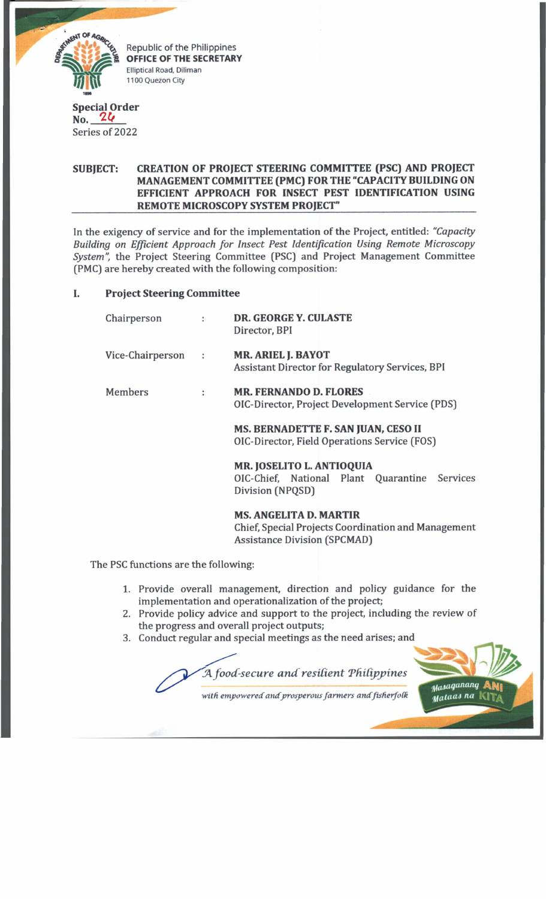

Republic of the Philippines OFFICE OF THE SECRETARY Elliptical Road, Diliman 1100 Quezon City

#### **Special Order No.** *W*

Series of 2022

### **SUBJECT: CREATION OF PROJECT STEERING COMMITTEE (PSC) AND PROJECT MANAGEMENT COMMITTEE (PMC) FOR THE "CAPACITY BUILDING ON EFFICIENT APPROACH FOR INSECT PEST IDENTIFICATION USING** REMOTE MICROSCOPY SYSTEM PROJECT"

In the exigency of service and for the implementation of the Project, entitled: *"Capacity Building on Efficient Approach for Insect Pest Identification Using Remote Microscopy System",* the Project Steering Committee (PSC) and Project Management Committee (PMC) are hereby created with the following composition:

# I. **Project Steering Committee**

| Chairperson      |                      | <b>DR. GEORGE Y. CULASTE</b><br>Director, BPI                                       |
|------------------|----------------------|-------------------------------------------------------------------------------------|
| Vice-Chairperson | $\ddot{\phantom{a}}$ | <b>MR. ARIEL J. BAYOT</b><br>Assistant Director for Regulatory Services, BPI        |
| Members          | ÷                    | <b>MR. FERNANDO D. FLORES</b><br>OIC-Director, Project Development Service (PDS)    |
|                  |                      | MS. BERNADETTE F. SAN JUAN, CESO II<br>OIC-Director, Field Operations Service (FOS) |
|                  |                      | <b>MR. JOSELITO L. ANTIOQUIA</b><br>OLC Chief Neticual Dlant Quanantine Course      |

OlC-Chief, National Plant Quarantine Services Division (NPQSD)

# **MS. ANGELITA D. MARTIR**

Chief, Special Projects Coordination and Management Assistance Division (SPCMAD)

The PSC functions are the following:

- 1. Provide overall management, direction and policy guidance for the implementation and operationalization of the project;
- **2**. Provide policy advice and support to the project, including the review of the progress and overall project outputs;
- 3. Conduct regular and special meetings as the need arises; and

*JA food-secure a n d resident Tfndpjyines tfa saquntmq* **A Ni** *Matuas na* KtT^

*with empowered andprosperous farm ers andfisfierfoik*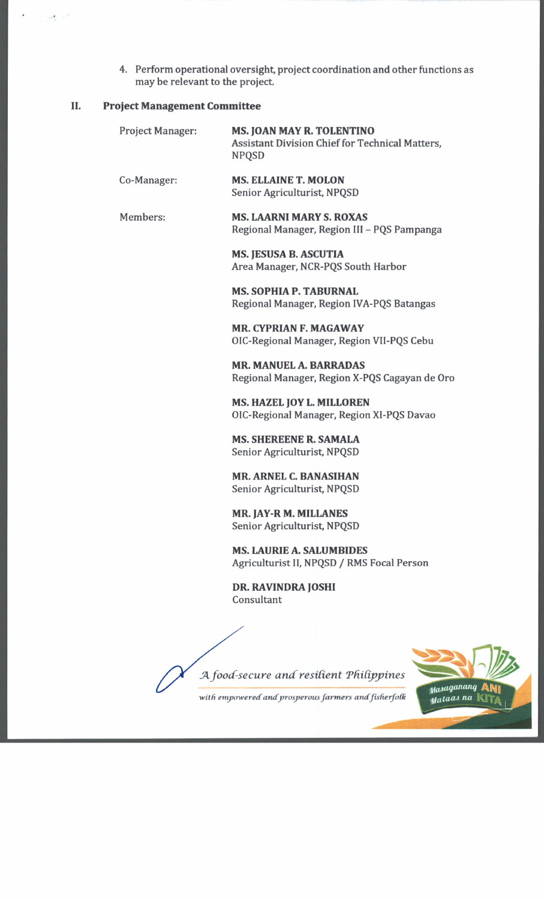4. Perform operational oversight, project coordination and other functions as may be relevant to the project.

#### II. **Project Management Committee**

Service de la provincia de la concerción de la concerción de la concerción de la concerción de la concerción d<br>Concerción de la concerción de la concerción de la concerción de la concerción de la concerción de la concerci

| Project Manager: | <b>MS. JOAN MAY R. TOLENTINO</b><br><b>Assistant Division Chief for Technical Matters,</b><br><b>NPQSD</b> |
|------------------|------------------------------------------------------------------------------------------------------------|
| Co-Manager:      | <b>MS. ELLAINE T. MOLON</b><br>Senior Agriculturist, NPQSD                                                 |
| Members:         | <b>MS. LAARNI MARY S. ROXAS</b><br>Regional Manager, Region III - PQS Pampanga                             |
|                  | <b>MS. JESUSA B. ASCUTIA</b><br>Area Manager, NCR-PQS South Harbor                                         |
|                  | <b>MS. SOPHIA P. TABURNAL</b><br>Regional Manager, Region IVA-PQS Batangas                                 |
|                  | <b>MR. CYPRIAN F. MAGAWAY</b><br>OIC-Regional Manager, Region VII-PQS Cebu                                 |
|                  | <b>MR. MANUEL A. BARRADAS</b><br>Regional Manager, Region X-PQS Cagayan de Oro                             |
|                  | <b>MS. HAZEL JOY L. MILLOREN</b><br>OIC-Regional Manager, Region XI-PQS Davao                              |
|                  | <b>MS. SHEREENE R. SAMALA</b><br>Senior Agriculturist, NPQSD                                               |
|                  | <b>MR. ARNEL C. BANASIHAN</b><br>Senior Agriculturist, NPQSD                                               |
|                  | <b>MR. JAY-R M. MILLANES</b><br>Senior Agriculturist, NPQSD                                                |
|                  | <b>MS. LAURIE A. SALUMBIDES</b><br>Agriculturist II, NPQSD / RMS Focal Person                              |
|                  | DR. RAVINDRA JOSHI<br>Consultant                                                                           |
|                  |                                                                                                            |

J4 *food-secure and resident Philippines*

with empowered and prosperous farmers and fisherfolk

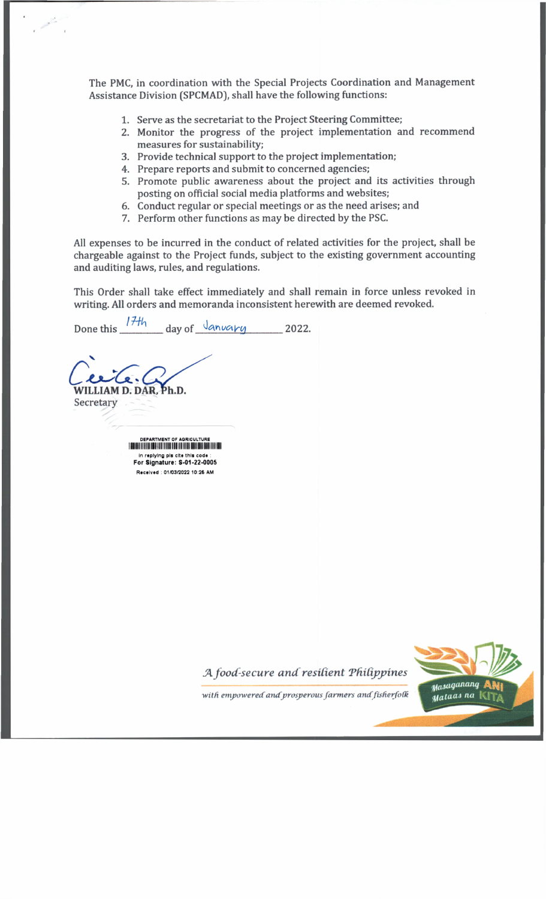The PMC, in coordination with the Special Projects Coordination and Management Assistance Division (SPCMAD), shall have the following functions:

- 1. Serve as the secretariat to the Project Steering Committee;
- 2. Monitor the progress of the project implementation and recommend measures for sustainability;
- 3. Provide technical support to the project implementation;
- 4. Prepare reports and submit to concerned agencies;
- 5. Promote public awareness about the project and its activities through posting on official social media platforms and websites;
- 6. Conduct regular or special meetings or as the need arises; and
- 7. Perform other functions as may be directed by the PSC.

All expenses to be incurred in the conduct of related activities for the project, shall be chargeable against to the Project funds, subject to the existing government accounting and auditing laws, rules, and regulations.

This Order shall take effect immediately and shall remain in force unless revoked in writing. All orders and memoranda inconsistent herewith are deemed revoked.

 $17th$  $day of$   $\sqrt{an\nu a} \nu q$  2022. Done this

DEPARTMENT OF AGRICULTURE in replying pls cite this code :<br>For Signature: S-01-22-0005 Received: 01/03/2022 10:26 AM

WILLIAM D. DAR, Ph.D.

Secretary

A food-secure and resilient Philippines



with empowered and prosperous farmers and fisherfolk